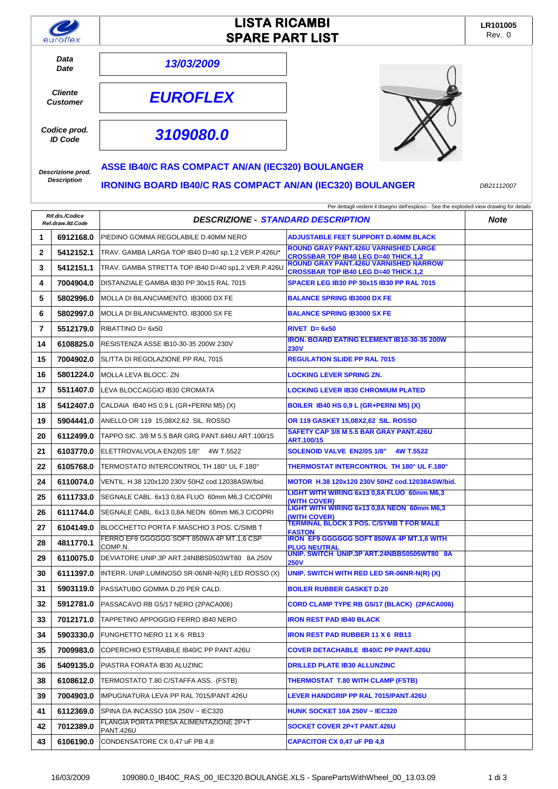| euroflex                                | <b>LISTA RICAMBI</b><br><b>SPARE PART LIST</b>                   |  | LR101005<br>Rev. 0 |
|-----------------------------------------|------------------------------------------------------------------|--|--------------------|
| Data<br><b>Date</b>                     | 13/03/2009                                                       |  |                    |
| <b>Cliente</b><br><b>Customer</b>       | <b>EUROFLEX</b>                                                  |  |                    |
| Codice prod.<br><b>ID Code</b>          | 3109080.0                                                        |  |                    |
| Descrizione prod.<br><b>Description</b> | <b>ASSE IB40/C RAS COMPACT AN/AN (IEC320) BOULANGER</b>          |  |                    |
|                                         | <b>IRONING BOARD IB40/C RAS COMPACT AN/AN (IEC320) BOULANGER</b> |  | DB21112007         |

| Per dettagli vedere il disegno dell'esploso - See the exploded view drawing for details |           |                                                            |                                                                                             |             |
|-----------------------------------------------------------------------------------------|-----------|------------------------------------------------------------|---------------------------------------------------------------------------------------------|-------------|
| Rif.dis./Codice<br>Ref.draw./ld.Code                                                    |           | <b>DESCRIZIONE - STANDARD DESCRIPTION</b>                  |                                                                                             | <b>Note</b> |
| 1                                                                                       | 6912168.0 | PIEDINO GOMMA REGOLABILE D.40MM NERO                       | <b>ADJUSTABLE FEET SUPPORT D.40MM BLACK</b>                                                 |             |
| $\mathbf{2}$                                                                            | 5412152.1 | TRAV. GAMBA LARGA TOP IB40 D=40 sp.1,2 VER.P.426U*         | <b>ROUND GRAY PANT.426U VARNISHED LARGE</b><br><b>CROSSBAR TOP IB40 LEG D=40 THICK.1,2</b>  |             |
| 3                                                                                       | 5412151.1 | TRAV. GAMBA STRETTA TOP IB40 D=40 sp1,2 VER.P.426U         | <b>ROUND GRAY PANT.426U VARNISHED NARROW</b><br><b>CROSSBAR TOP IB40 LEG D=40 THICK.1,2</b> |             |
| 4                                                                                       | 7004904.0 | DISTANZIALE GAMBA IB30 PP 30x15 RAL 7015                   | <b>SPACER LEG IB30 PP 30x15 IB30 PP RAL 7015</b>                                            |             |
| 5                                                                                       | 5802996.0 | MOLLA DI BILANCIAMENTO. IB3000 DX FE                       | <b>BALANCE SPRING IB3000 DX FE</b>                                                          |             |
| 6                                                                                       | 5802997.0 | MOLLA DI BILANCIAMENTO. IB3000 SX FE                       | <b>BALANCE SPRING IB3000 SX FE</b>                                                          |             |
| 7                                                                                       | 5512179.0 | RIBATTINO D= 6x50                                          | $RIVET$ D= $6x50$                                                                           |             |
| 14                                                                                      | 6108825.0 | RESISTENZA ASSE IB10-30-35 200W 230V                       | <b>IRON, BOARD EATING ELEMENT IB10-30-35 200W</b><br><b>230V</b>                            |             |
| 15                                                                                      | 7004902.0 | SLITTA DI REGOLAZIONE PP RAL 7015                          | <b>REGULATION SLIDE PP RAL 7015</b>                                                         |             |
| 16                                                                                      | 5801224.0 | MOLLA LEVA BLOCC. ZN                                       | <b>LOCKING LEVER SPRING ZN.</b>                                                             |             |
| 17                                                                                      | 5511407.0 | LEVA BLOCCAGGIO IB30 CROMATA                               | <b>LOCKING LEVER IB30 CHROMIUM PLATED</b>                                                   |             |
| 18                                                                                      | 5412407.0 | CALDAIA IB40 HS 0.9 L (GR+PERNI M5) (X)                    | BOILER IB40 HS 0,9 L (GR+PERNI M5) (X)                                                      |             |
| 19                                                                                      | 5904441.0 | ANELLO OR 119 15,08X2,62 SIL. ROSSO                        | OR 119 GASKET 15,08X2,62 SIL. ROSSO                                                         |             |
| 20                                                                                      | 6112499.0 | TAPPO SIC. 3/8 M 5.5 BAR GRG PANT 646U ART.100/15          | SAFETY CAP 3/8 M 5.5 BAR GRAY PANT.426U<br>ART.100/15                                       |             |
| 21                                                                                      | 6103770.0 | ELETTROVALVOLA EN2/0S 1/8" 4W T.5522                       | <b>SOLENOID VALVE EN2/0S 1/8"</b><br>4W T.5522                                              |             |
| 22                                                                                      | 6105768.0 | TERMOSTATO INTERCONTROL TH 180° UL F.180°                  | <b>THERMOSTAT INTERCONTROL TH 180° UL F.180°</b>                                            |             |
| 24                                                                                      | 6110074.0 | VENTIL. H.38 120x120 230V 50HZ cod.12038ASW/bid.           | MOTOR H.38 120x120 230V 50HZ cod.12038ASW/bid.                                              |             |
| 25                                                                                      | 6111733.0 | SEGNALE CABL. 6x13 0.8A FLUO 60mm M6.3 C/COPRI             | LIGHT WITH WIRING 6x13 0,8A FLUO 60mm M6,3<br>(WITH COVER)                                  |             |
| 26                                                                                      | 6111744.0 | SEGNALE CABL. 6x13 0,8A NEON 60mm M6,3 C/COPRI             | LIGHT WITH WIRING 6x13 0,8A NEON 60mm M6,3<br>(WITH COVER)                                  |             |
| 27                                                                                      | 6104149.0 | BLOCCHETTO PORTA F.MASCHIO 3 POS. C/SIMB T                 | <b>TERMINAL BLOCK 3 POS. C/SYMB T FOR MALE</b><br><b>FASTON</b>                             |             |
| 28                                                                                      | 4811770.1 | FERRO EF9 GGGGGG SOFT 850WA 4P MT.1,6 CSP<br>COMP.N.       | IRON EF9 GGGGGG SOFT 850WA 4P MT.1,6 WITH<br><b>PLUG NEUTRAL</b>                            |             |
| 29                                                                                      | 6110075.0 | DEVIATORE UNIP.3P ART.24NBBS0503WT80 8A 250V               | UNIP. SWITCH UNIP.3P ART.24NBBS0505WT80 8A<br><b>250V</b>                                   |             |
| 30                                                                                      | 6111397.0 | INTERR. UNIP.LUMINOSO SR-06NR-N(R) LED ROSSO (X)           | UNIP. SWITCH WITH RED LED SR-06NR-N(R) (X)                                                  |             |
| 31                                                                                      | 5903119.0 | PASSATUBO GOMMA D.20 PER CALD.                             | <b>BOILER RUBBER GASKET D.20</b>                                                            |             |
| 32                                                                                      | 5912781.0 | PASSACAVO RB G5/17 NERO (2PACA006)                         | CORD CLAMP TYPE RB G5/17 (BLACK) (2PACA006)                                                 |             |
| 33                                                                                      | 7012171.0 | TAPPETINO APPOGGIO FERRO IB40 NERO                         | <b>IRON REST PAD IB40 BLACK</b>                                                             |             |
| 34                                                                                      | 5903330.0 | FUNGHETTO NERO 11 X 6 RB13                                 | <b>IRON REST PAD RUBBER 11 X 6 RB13</b>                                                     |             |
| 35                                                                                      | 7009983.0 | COPERCHIO ESTRAIBILE IB40/C PP PANT.426U                   | <b>COVER DETACHABLE IB40/C PP PANT.426U</b>                                                 |             |
| 36                                                                                      | 5409135.0 | PIASTRA FORATA IB30 ALUZINC                                | <b>DRILLED PLATE IB30 ALLUNZINC</b>                                                         |             |
| 38                                                                                      | 6108612.0 | TERMOSTATO T.80 C/STAFFA ASS. (FSTB)                       | THERMOSTAT T.80 WITH CLAMP (FSTB)                                                           |             |
| 39                                                                                      | 7004903.0 | IMPUGNATURA LEVA PP RAL 7015/PANT.426U                     | LEVER HANDGRIP PP RAL 7015/PANT.426U                                                        |             |
| 41                                                                                      | 6112369.0 | SPINA DA INCASSO 10A 250V ~ IEC320                         | <b>HUNK SOCKET 10A 250V ~ IEC320</b>                                                        |             |
| 42                                                                                      | 7012389.0 | FLANGIA PORTA PRESA ALIMENTAZIONE 2P+T<br><b>PANT.426U</b> | SOCKET COVER 2P+T PANT.426U                                                                 |             |

**43 6106190.0** CONDENSATORE CX 0,47 uF PB 4,8 **CAPACITOR CX 0,47 uF PB 4,8**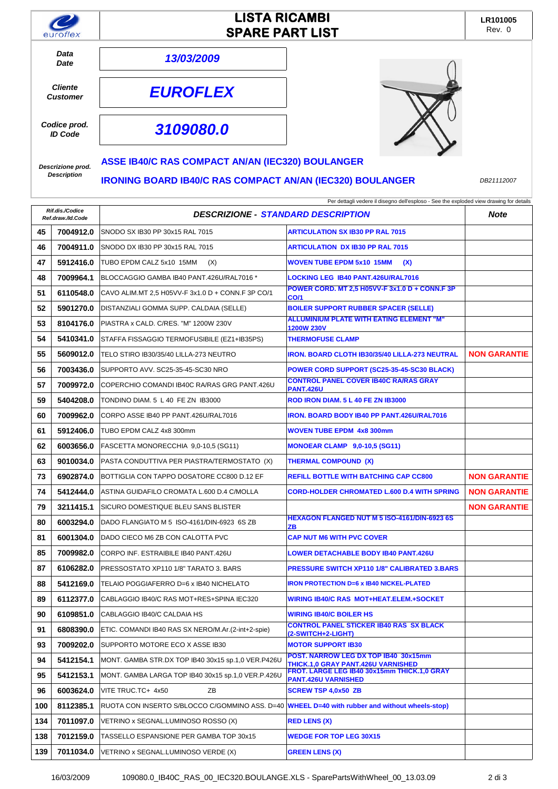|                                   |                                      | <b>LISTA RICAMBI</b>                                                                           |                                                                                         | LR101005            |
|-----------------------------------|--------------------------------------|------------------------------------------------------------------------------------------------|-----------------------------------------------------------------------------------------|---------------------|
| euroflex                          |                                      | <b>SPARE PART LIST</b>                                                                         |                                                                                         | Rev. 0              |
| Data                              |                                      | 13/03/2009                                                                                     |                                                                                         |                     |
|                                   | Date                                 |                                                                                                |                                                                                         |                     |
| <b>Cliente</b><br><b>Customer</b> |                                      | <b>EUROFLEX</b>                                                                                |                                                                                         |                     |
| Codice prod.<br><b>ID Code</b>    |                                      | 3109080.0                                                                                      |                                                                                         |                     |
| Descrizione prod.                 |                                      | <b>ASSE IB40/C RAS COMPACT AN/AN (IEC320) BOULANGER</b>                                        |                                                                                         |                     |
| <b>Description</b>                |                                      | <b>IRONING BOARD IB40/C RAS COMPACT AN/AN (IEC320) BOULANGER</b>                               |                                                                                         | DB21112007          |
|                                   |                                      |                                                                                                | Per dettagli vedere il disegno dell'esploso - See the exploded view drawing for details |                     |
|                                   | Rif.dis./Codice<br>Ref.draw./ld.Code | <b>DESCRIZIONE - STANDARD DESCRIPTION</b>                                                      |                                                                                         | <b>Note</b>         |
| 45                                | 7004912.0                            | SNODO SX IB30 PP 30x15 RAL 7015                                                                | <b>ARTICULATION SX IB30 PP RAL 7015</b>                                                 |                     |
| 46                                | 7004911.0                            | SNODO DX IB30 PP 30x15 RAL 7015                                                                | <b>ARTICULATION DX IB30 PP RAL 7015</b>                                                 |                     |
| 47                                | 5912416.0                            | TUBO EPDM CALZ 5x10 15MM<br>(X)                                                                | <b>WOVEN TUBE EPDM 5x10 15MM</b><br>(X)                                                 |                     |
| 48                                | 7009964.1                            | BLOCCAGGIO GAMBA IB40 PANT.426U/RAL7016 *                                                      | LOCKING LEG IB40 PANT.426U/RAL7016                                                      |                     |
| 51                                | 6110548.0                            | CAVO ALIM.MT 2,5 H05VV-F 3x1.0 D + CONN.F 3P CO/1                                              | POWER CORD. MT 2,5 H05VV-F 3x1.0 D + CONN.F 3P<br><b>CO/1</b>                           |                     |
| 52                                | 5901270.0                            | DISTANZIALI GOMMA SUPP. CALDAIA (SELLE)                                                        | <b>BOILER SUPPORT RUBBER SPACER (SELLE)</b>                                             |                     |
| 53                                | 8104176.0                            | PIASTRA x CALD. C/RES. "M" 1200W 230V                                                          | <b>ALLUMINIUM PLATE WITH EATING ELEMENT "M"</b><br><b>1200W 230V</b>                    |                     |
| 54                                | 5410341.0                            | STAFFA FISSAGGIO TERMOFUSIBILE (EZ1+IB35PS)                                                    | <b>THERMOFUSE CLAMP</b>                                                                 |                     |
| 55                                | 5609012.0                            | TELO STIRO IB30/35/40 LILLA-273 NEUTRO                                                         | <b>IRON. BOARD CLOTH IB30/35/40 LILLA-273 NEUTRAL</b>                                   | <b>NON GARANTIE</b> |
| 56                                | 7003436.0                            | SUPPORTO AVV. SC25-35-45-SC30 NRO                                                              | POWER CORD SUPPORT (SC25-35-45-SC30 BLACK)                                              |                     |
| 57                                | 7009972.0                            | COPERCHIO COMANDI IB40C RA/RAS GRG PANT.426U                                                   | <b>CONTROL PANEL COVER IB40C RA/RAS GRAY</b><br><b>PANT.426U</b>                        |                     |
| 59                                | 5404208.0                            | TONDINO DIAM. 5 L 40 FE ZN IB3000                                                              | ROD IRON DIAM. 5 L 40 FE ZN IB3000                                                      |                     |
| 60                                | 7009962.0                            | CORPO ASSE IB40 PP PANT.426U/RAL7016                                                           | <b>IRON. BOARD BODY IB40 PP PANT.426U/RAL7016</b>                                       |                     |
| 61                                | 5912406.0                            | TUBO EPDM CALZ 4x8 300mm                                                                       | WOVEN TUBE EPDM 4x8 300mm                                                               |                     |
| 62                                | 6003656.0                            | FASCETTA MONORECCHIA 9,0-10,5 (SG11)                                                           | <b>MONOEAR CLAMP 9,0-10,5 (SG11)</b>                                                    |                     |
| 63                                | 9010034.0                            | PASTA CONDUTTIVA PER PIASTRA/TERMOSTATO (X)                                                    | <b>THERMAL COMPOUND (X)</b>                                                             |                     |
| 73                                | 6902874.0                            | BOTTIGLIA CON TAPPO DOSATORE CC800 D.12 EF                                                     | <b>REFILL BOTTLE WITH BATCHING CAP CC800</b>                                            | <b>NON GARANTIE</b> |
| 74                                | 5412444.0                            | ASTINA GUIDAFILO CROMATA L.600 D.4 C/MOLLA                                                     | CORD-HOLDER CHROMATED L.600 D.4 WITH SPRING                                             | <b>NON GARANTIE</b> |
| 79                                | 3211415.1                            | SICURO DOMESTIQUE BLEU SANS BLISTER                                                            |                                                                                         | <b>NON GARANTIE</b> |
| 80                                | 6003294.0                            | DADO FLANGIATO M 5 ISO-4161/DIN-6923 6S ZB                                                     | HEXAGON FLANGED NUT M 5 ISO-4161/DIN-6923 6S<br>ZΒ                                      |                     |
| 81                                | 6001304.0                            | DADO CIECO M6 ZB CON CALOTTA PVC                                                               | CAP NUT M6 WITH PVC COVER                                                               |                     |
| 85                                | 7009982.0                            | CORPO INF. ESTRAIBILE IB40 PANT.426U                                                           | LOWER DETACHABLE BODY IB40 PANT.426U                                                    |                     |
| 87                                | 6106282.0                            | PRESSOSTATO XP110 1/8" TARATO 3. BARS                                                          | <b>PRESSURE SWITCH XP110 1/8" CALIBRATED 3.BARS</b>                                     |                     |
| 88                                | 5412169.0                            | TELAIO POGGIAFERRO D=6 x IB40 NICHELATO                                                        | <b>IRON PROTECTION D=6 x IB40 NICKEL-PLATED</b>                                         |                     |
| 89                                | 6112377.0                            | CABLAGGIO IB40/C RAS MOT+RES+SPINA IEC320                                                      | WIRING IB40/C RAS_MOT+HEAT.ELEM.+SOCKET                                                 |                     |
| 90                                | 6109851.0                            | CABLAGGIO IB40/C CALDAIA HS                                                                    | <b>WIRING IB40/C BOILER HS</b>                                                          |                     |
| 91                                | 6808390.0                            | ETIC. COMANDI IB40 RAS SX NERO/M.Ar. (2-int+2-spie)                                            | <b>CONTROL PANEL STICKER IB40 RAS SX BLACK</b><br>(2-SWITCH+2-LIGHT)                    |                     |
| 93                                | 7009202.0                            | SUPPORTO MOTORE ECO X ASSE IB30                                                                | <b>MOTOR SUPPORT IB30</b>                                                               |                     |
| 94                                | 5412154.1                            | MONT. GAMBA STR.DX TOP IB40 30x15 sp.1,0 VER.P426U                                             | POST. NARROW LEG DX TOP IB40 30x15mm<br><b>THICK.1,0 GRAY PANT.426U VARNISHED</b>       |                     |
| 95                                | 5412153.1                            | MONT. GAMBA LARGA TOP IB40 30x15 sp.1,0 VER.P.426U                                             | FROT. LARGE LEG IB40 30x15mm THICK.1,0 GRAY<br><b>PANT.426U VARNISHED</b>               |                     |
| 96                                | 6003624.0                            | VITE TRUC.TC+ 4x50<br>ZΒ                                                                       | <b>SCREW TSP 4,0x50 ZB</b>                                                              |                     |
| 100                               | 8112385.1                            | RUOTA CON INSERTO S/BLOCCO C/GOMMINO ASS. D=40 WHEEL D=40 with rubber and without wheels-stop) |                                                                                         |                     |
| 134                               | 7011097.0                            | VETRINO x SEGNAL.LUMINOSO ROSSO (X)                                                            | <b>RED LENS (X)</b>                                                                     |                     |
| 138                               | 7012159.0                            | TASSELLO ESPANSIONE PER GAMBA TOP 30x15                                                        | <b>WEDGE FOR TOP LEG 30X15</b>                                                          |                     |
| 139                               | 7011034.0                            | VETRINO x SEGNAL.LUMINOSO VERDE (X)                                                            | <b>GREEN LENS (X)</b>                                                                   |                     |